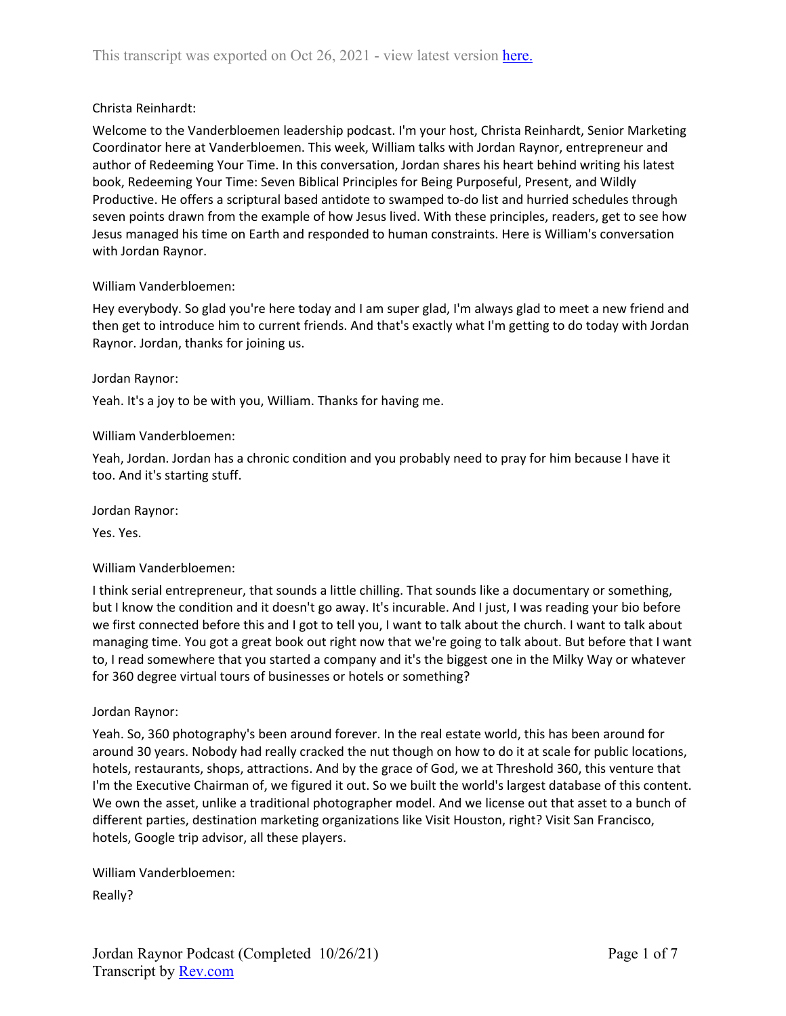# Christa Reinhardt:

Welcome to the Vanderbloemen leadership podcast. I'm your host, Christa Reinhardt, Senior Marketing Coordinator here at Vanderbloemen. This week, William talks with Jordan Raynor, entrepreneur and author of Redeeming Your Time. In this conversation, Jordan shares his heart behind writing his latest book, Redeeming Your Time: Seven Biblical Principles for Being Purposeful, Present, and Wildly Productive. He offers a scriptural based antidote to swamped to-do list and hurried schedules through seven points drawn from the example of how Jesus lived. With these principles, readers, get to see how Jesus managed his time on Earth and responded to human constraints. Here is William's conversation with Jordan Raynor.

## William Vanderbloemen:

Hey everybody. So glad you're here today and I am super glad, I'm always glad to meet a new friend and then get to introduce him to current friends. And that's exactly what I'm getting to do today with Jordan Raynor. Jordan, thanks for joining us.

## Jordan Raynor:

Yeah. It's a joy to be with you, William. Thanks for having me.

## William Vanderbloemen:

Yeah, Jordan. Jordan has a chronic condition and you probably need to pray for him because I have it too. And it's starting stuff.

Jordan Raynor:

Yes. Yes.

## William Vanderbloemen:

I think serial entrepreneur, that sounds a little chilling. That sounds like a documentary or something, but I know the condition and it doesn't go away. It's incurable. And I just, I was reading your bio before we first connected before this and I got to tell you, I want to talk about the church. I want to talk about managing time. You got a great book out right now that we're going to talk about. But before that I want to, I read somewhere that you started a company and it's the biggest one in the Milky Way or whatever for 360 degree virtual tours of businesses or hotels or something?

## Jordan Raynor:

Yeah. So, 360 photography's been around forever. In the real estate world, this has been around for around 30 years. Nobody had really cracked the nut though on how to do it at scale for public locations, hotels, restaurants, shops, attractions. And by the grace of God, we at Threshold 360, this venture that I'm the Executive Chairman of, we figured it out. So we built the world's largest database of this content. We own the asset, unlike a traditional photographer model. And we license out that asset to a bunch of different parties, destination marketing organizations like Visit Houston, right? Visit San Francisco, hotels, Google trip advisor, all these players.

William Vanderbloemen:

Really?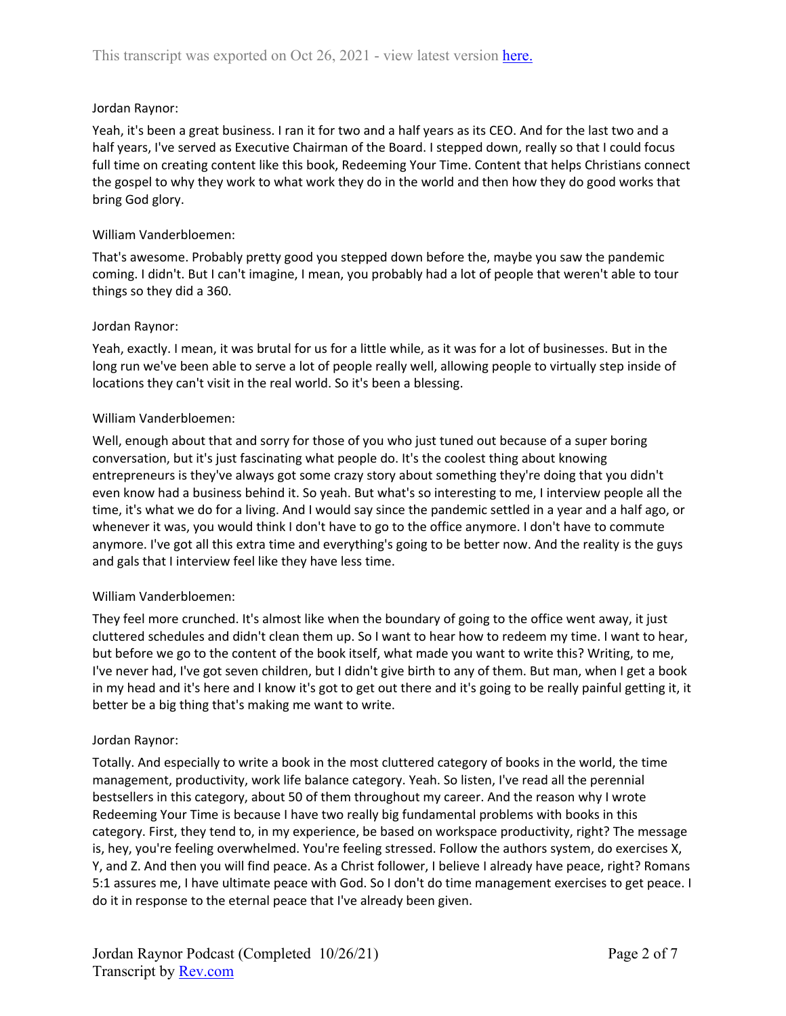# Jordan Raynor:

Yeah, it's been a great business. I ran it for two and a half years as its CEO. And for the last two and a half years, I've served as Executive Chairman of the Board. I stepped down, really so that I could focus full time on creating content like this book, Redeeming Your Time. Content that helps Christians connect the gospel to why they work to what work they do in the world and then how they do good works that bring God glory.

## William Vanderbloemen:

That's awesome. Probably pretty good you stepped down before the, maybe you saw the pandemic coming. I didn't. But I can't imagine, I mean, you probably had a lot of people that weren't able to tour things so they did a 360.

# Jordan Raynor:

Yeah, exactly. I mean, it was brutal for us for a little while, as it was for a lot of businesses. But in the long run we've been able to serve a lot of people really well, allowing people to virtually step inside of locations they can't visit in the real world. So it's been a blessing.

# William Vanderbloemen:

Well, enough about that and sorry for those of you who just tuned out because of a super boring conversation, but it's just fascinating what people do. It's the coolest thing about knowing entrepreneurs is they've always got some crazy story about something they're doing that you didn't even know had a business behind it. So yeah. But what's so interesting to me, I interview people all the time, it's what we do for a living. And I would say since the pandemic settled in a year and a half ago, or whenever it was, you would think I don't have to go to the office anymore. I don't have to commute anymore. I've got all this extra time and everything's going to be better now. And the reality is the guys and gals that I interview feel like they have less time.

# William Vanderbloemen:

They feel more crunched. It's almost like when the boundary of going to the office went away, it just cluttered schedules and didn't clean them up. So I want to hear how to redeem my time. I want to hear, but before we go to the content of the book itself, what made you want to write this? Writing, to me, I've never had, I've got seven children, but I didn't give birth to any of them. But man, when I get a book in my head and it's here and I know it's got to get out there and it's going to be really painful getting it, it better be a big thing that's making me want to write.

## Jordan Raynor:

Totally. And especially to write a book in the most cluttered category of books in the world, the time management, productivity, work life balance category. Yeah. So listen, I've read all the perennial bestsellers in this category, about 50 of them throughout my career. And the reason why I wrote Redeeming Your Time is because I have two really big fundamental problems with books in this category. First, they tend to, in my experience, be based on workspace productivity, right? The message is, hey, you're feeling overwhelmed. You're feeling stressed. Follow the authors system, do exercises X, Y, and Z. And then you will find peace. As a Christ follower, I believe I already have peace, right? Romans 5:1 assures me, I have ultimate peace with God. So I don't do time management exercises to get peace. I do it in response to the eternal peace that I've already been given.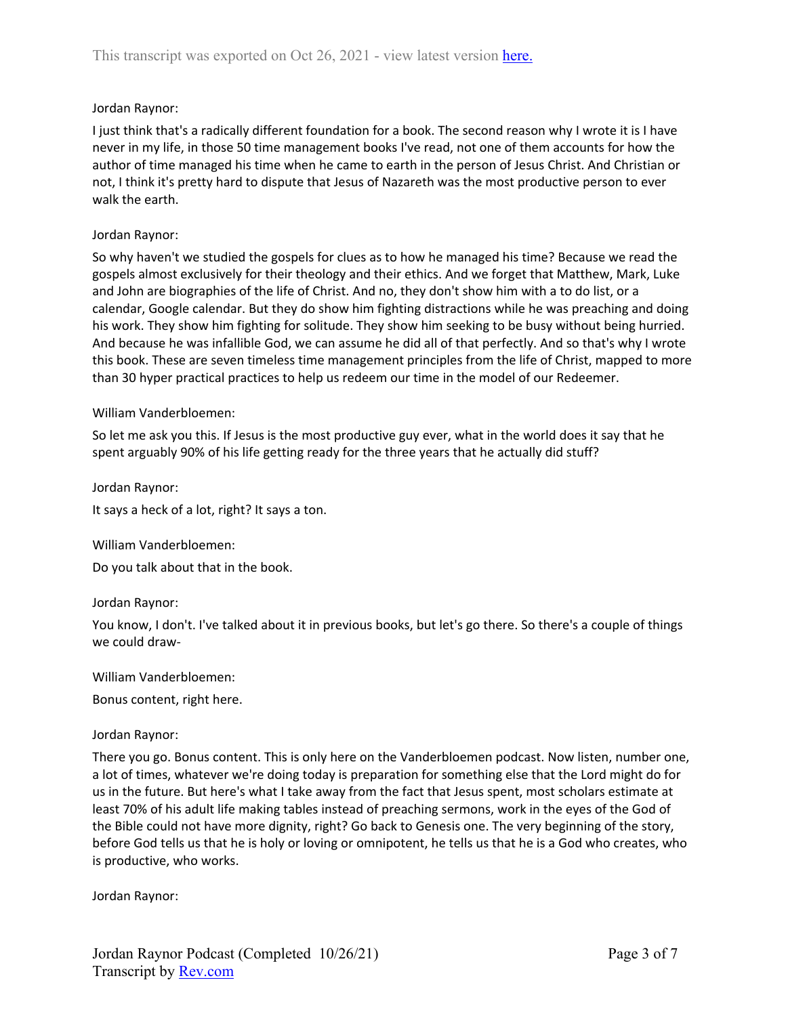# Jordan Raynor:

I just think that's a radically different foundation for a book. The second reason why I wrote it is I have never in my life, in those 50 time management books I've read, not one of them accounts for how the author of time managed his time when he came to earth in the person of Jesus Christ. And Christian or not, I think it's pretty hard to dispute that Jesus of Nazareth was the most productive person to ever walk the earth.

## Jordan Raynor:

So why haven't we studied the gospels for clues as to how he managed his time? Because we read the gospels almost exclusively for their theology and their ethics. And we forget that Matthew, Mark, Luke and John are biographies of the life of Christ. And no, they don't show him with a to do list, or a calendar, Google calendar. But they do show him fighting distractions while he was preaching and doing his work. They show him fighting for solitude. They show him seeking to be busy without being hurried. And because he was infallible God, we can assume he did all of that perfectly. And so that's why I wrote this book. These are seven timeless time management principles from the life of Christ, mapped to more than 30 hyper practical practices to help us redeem our time in the model of our Redeemer.

## William Vanderbloemen:

So let me ask you this. If Jesus is the most productive guy ever, what in the world does it say that he spent arguably 90% of his life getting ready for the three years that he actually did stuff?

Jordan Raynor:

It says a heck of a lot, right? It says a ton.

William Vanderbloemen:

Do you talk about that in the book.

Jordan Raynor:

You know, I don't. I've talked about it in previous books, but let's go there. So there's a couple of things we could draw-

William Vanderbloemen:

Bonus content, right here.

## Jordan Raynor:

There you go. Bonus content. This is only here on the Vanderbloemen podcast. Now listen, number one, a lot of times, whatever we're doing today is preparation for something else that the Lord might do for us in the future. But here's what I take away from the fact that Jesus spent, most scholars estimate at least 70% of his adult life making tables instead of preaching sermons, work in the eyes of the God of the Bible could not have more dignity, right? Go back to Genesis one. The very beginning of the story, before God tells us that he is holy or loving or omnipotent, he tells us that he is a God who creates, who is productive, who works.

Jordan Raynor: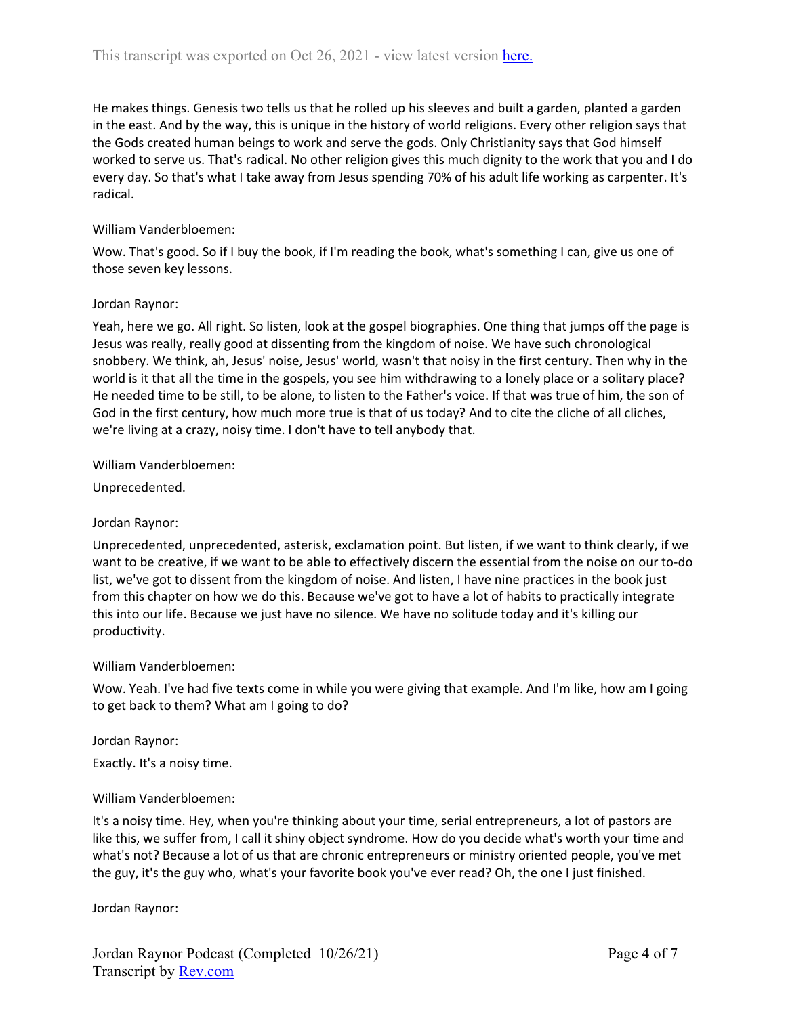He makes things. Genesis two tells us that he rolled up his sleeves and built a garden, planted a garden in the east. And by the way, this is unique in the history of world religions. Every other religion says that the Gods created human beings to work and serve the gods. Only Christianity says that God himself worked to serve us. That's radical. No other religion gives this much dignity to the work that you and I do every day. So that's what I take away from Jesus spending 70% of his adult life working as carpenter. It's radical.

# William Vanderbloemen:

Wow. That's good. So if I buy the book, if I'm reading the book, what's something I can, give us one of those seven key lessons.

# Jordan Raynor:

Yeah, here we go. All right. So listen, look at the gospel biographies. One thing that jumps off the page is Jesus was really, really good at dissenting from the kingdom of noise. We have such chronological snobbery. We think, ah, Jesus' noise, Jesus' world, wasn't that noisy in the first century. Then why in the world is it that all the time in the gospels, you see him withdrawing to a lonely place or a solitary place? He needed time to be still, to be alone, to listen to the Father's voice. If that was true of him, the son of God in the first century, how much more true is that of us today? And to cite the cliche of all cliches, we're living at a crazy, noisy time. I don't have to tell anybody that.

# William Vanderbloemen:

Unprecedented.

# Jordan Raynor:

Unprecedented, unprecedented, asterisk, exclamation point. But listen, if we want to think clearly, if we want to be creative, if we want to be able to effectively discern the essential from the noise on our to-do list, we've got to dissent from the kingdom of noise. And listen, I have nine practices in the book just from this chapter on how we do this. Because we've got to have a lot of habits to practically integrate this into our life. Because we just have no silence. We have no solitude today and it's killing our productivity.

## William Vanderbloemen:

Wow. Yeah. I've had five texts come in while you were giving that example. And I'm like, how am I going to get back to them? What am I going to do?

## Jordan Raynor:

Exactly. It's a noisy time.

## William Vanderbloemen:

It's a noisy time. Hey, when you're thinking about your time, serial entrepreneurs, a lot of pastors are like this, we suffer from, I call it shiny object syndrome. How do you decide what's worth your time and what's not? Because a lot of us that are chronic entrepreneurs or ministry oriented people, you've met the guy, it's the guy who, what's your favorite book you've ever read? Oh, the one I just finished.

Jordan Raynor: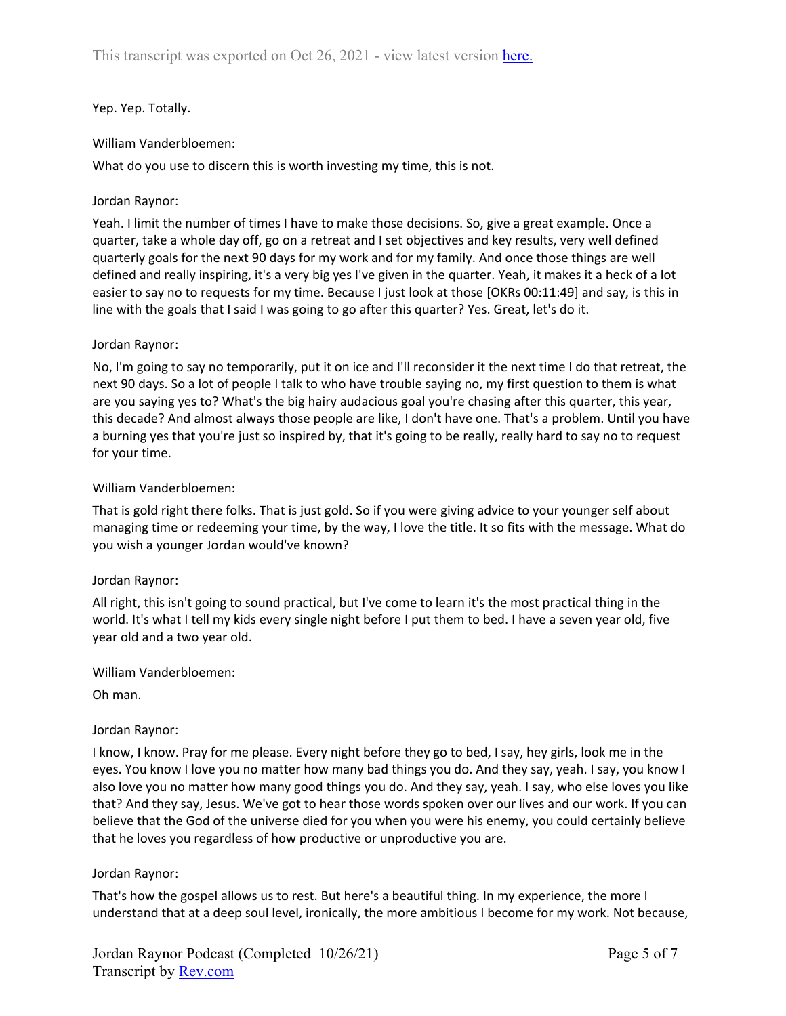# Yep. Yep. Totally.

### William Vanderbloemen:

What do you use to discern this is worth investing my time, this is not.

### Jordan Raynor:

Yeah. I limit the number of times I have to make those decisions. So, give a great example. Once a quarter, take a whole day off, go on a retreat and I set objectives and key results, very well defined quarterly goals for the next 90 days for my work and for my family. And once those things are well defined and really inspiring, it's a very big yes I've given in the quarter. Yeah, it makes it a heck of a lot easier to say no to requests for my time. Because I just look at those [OKRs 00:11:49] and say, is this in line with the goals that I said I was going to go after this quarter? Yes. Great, let's do it.

## Jordan Raynor:

No, I'm going to say no temporarily, put it on ice and I'll reconsider it the next time I do that retreat, the next 90 days. So a lot of people I talk to who have trouble saying no, my first question to them is what are you saying yes to? What's the big hairy audacious goal you're chasing after this quarter, this year, this decade? And almost always those people are like, I don't have one. That's a problem. Until you have a burning yes that you're just so inspired by, that it's going to be really, really hard to say no to request for your time.

### William Vanderbloemen:

That is gold right there folks. That is just gold. So if you were giving advice to your younger self about managing time or redeeming your time, by the way, I love the title. It so fits with the message. What do you wish a younger Jordan would've known?

## Jordan Raynor:

All right, this isn't going to sound practical, but I've come to learn it's the most practical thing in the world. It's what I tell my kids every single night before I put them to bed. I have a seven year old, five year old and a two year old.

#### William Vanderbloemen:

Oh man.

## Jordan Raynor:

I know, I know. Pray for me please. Every night before they go to bed, I say, hey girls, look me in the eyes. You know I love you no matter how many bad things you do. And they say, yeah. I say, you know I also love you no matter how many good things you do. And they say, yeah. I say, who else loves you like that? And they say, Jesus. We've got to hear those words spoken over our lives and our work. If you can believe that the God of the universe died for you when you were his enemy, you could certainly believe that he loves you regardless of how productive or unproductive you are.

## Jordan Raynor:

That's how the gospel allows us to rest. But here's a beautiful thing. In my experience, the more I understand that at a deep soul level, ironically, the more ambitious I become for my work. Not because,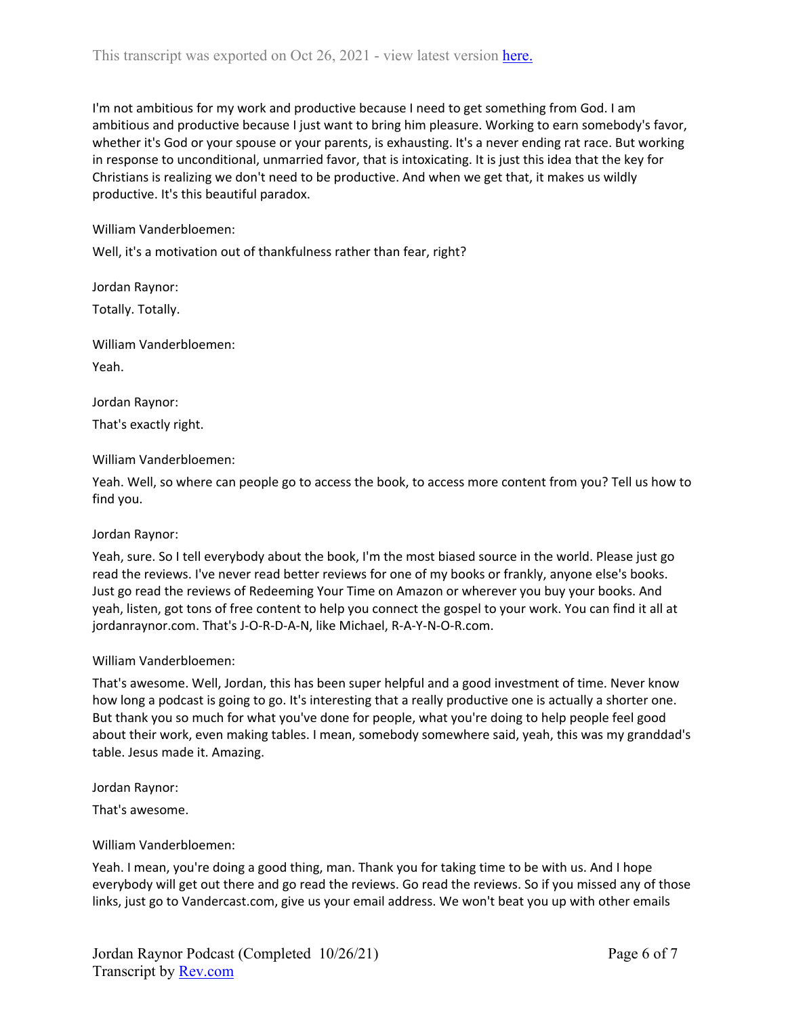I'm not ambitious for my work and productive because I need to get something from God. I am ambitious and productive because I just want to bring him pleasure. Working to earn somebody's favor, whether it's God or your spouse or your parents, is exhausting. It's a never ending rat race. But working in response to unconditional, unmarried favor, that is intoxicating. It is just this idea that the key for Christians is realizing we don't need to be productive. And when we get that, it makes us wildly productive. It's this beautiful paradox.

William Vanderbloemen:

Well, it's a motivation out of thankfulness rather than fear, right?

Jordan Raynor:

Totally. Totally.

William Vanderbloemen: Yeah.

Jordan Raynor: That's exactly right.

### William Vanderbloemen:

Yeah. Well, so where can people go to access the book, to access more content from you? Tell us how to find you.

#### Jordan Raynor:

Yeah, sure. So I tell everybody about the book, I'm the most biased source in the world. Please just go read the reviews. I've never read better reviews for one of my books or frankly, anyone else's books. Just go read the reviews of Redeeming Your Time on Amazon or wherever you buy your books. And yeah, listen, got tons of free content to help you connect the gospel to your work. You can find it all at jordanraynor.com. That's J-O-R-D-A-N, like Michael, R-A-Y-N-O-R.com.

#### William Vanderbloemen:

That's awesome. Well, Jordan, this has been super helpful and a good investment of time. Never know how long a podcast is going to go. It's interesting that a really productive one is actually a shorter one. But thank you so much for what you've done for people, what you're doing to help people feel good about their work, even making tables. I mean, somebody somewhere said, yeah, this was my granddad's table. Jesus made it. Amazing.

Jordan Raynor:

That's awesome.

#### William Vanderbloemen:

Yeah. I mean, you're doing a good thing, man. Thank you for taking time to be with us. And I hope everybody will get out there and go read the reviews. Go read the reviews. So if you missed any of those links, just go to Vandercast.com, give us your email address. We won't beat you up with other emails